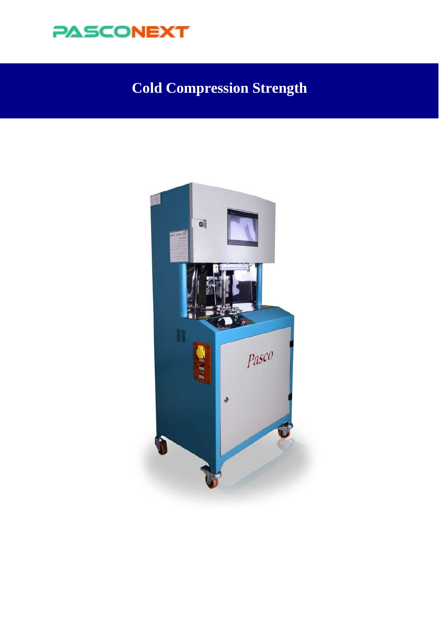

# **Cold Compression Strength**

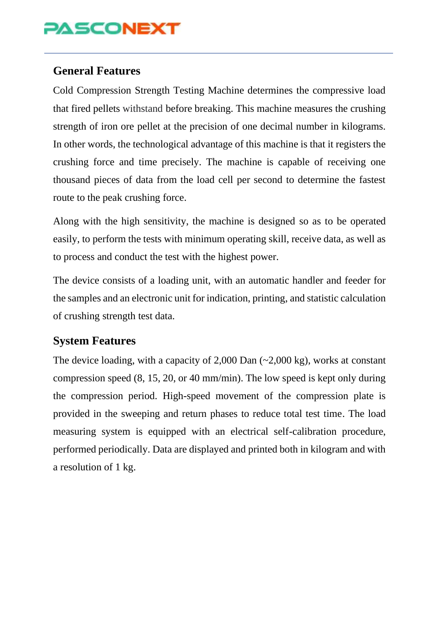# **PASCONEXT**

#### **General Features**

Cold Compression Strength Testing Machine determines the compressive load that fired pellets withstand before breaking. This machine measures the crushing strength of iron ore pellet at the precision of one decimal number in kilograms. In other words, the technological advantage of this machine is that it registers the crushing force and time precisely. The machine is capable of receiving one thousand pieces of data from the load cell per second to determine the fastest route to the peak crushing force.

Along with the high sensitivity, the machine is designed so as to be operated easily, to perform the tests with minimum operating skill, receive data, as well as to process and conduct the test with the highest power.

The device consists of a loading unit, with an automatic handler and feeder for the samples and an electronic unit for indication, printing, and statistic calculation of crushing strength test data.

### **System Features**

The device loading, with a capacity of 2,000 Dan (~2,000 kg), works at constant compression speed (8, 15, 20, or 40 mm/min). The low speed is kept only during the compression period. High-speed movement of the compression plate is provided in the sweeping and return phases to reduce total test time. The load measuring system is equipped with an electrical self-calibration procedure, performed periodically. Data are displayed and printed both in kilogram and with a resolution of 1 kg.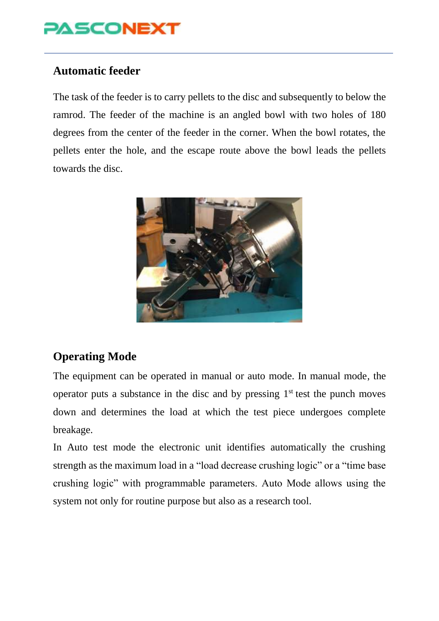

### **Automatic feeder**

The task of the feeder is to carry pellets to the disc and subsequently to below the ramrod. The feeder of the machine is an angled bowl with two holes of 180 degrees from the center of the feeder in the corner. When the bowl rotates, the pellets enter the hole, and the escape route above the bowl leads the pellets towards the disc.



#### **Operating Mode**

The equipment can be operated in manual or auto mode. In manual mode, the operator puts a substance in the disc and by pressing  $1<sup>st</sup>$  test the punch moves down and determines the load at which the test piece undergoes complete breakage.

In Auto test mode the electronic unit identifies automatically the crushing strength as the maximum load in a "load decrease crushing logic" or a "time base crushing logic" with programmable parameters. Auto Mode allows using the system not only for routine purpose but also as a research tool.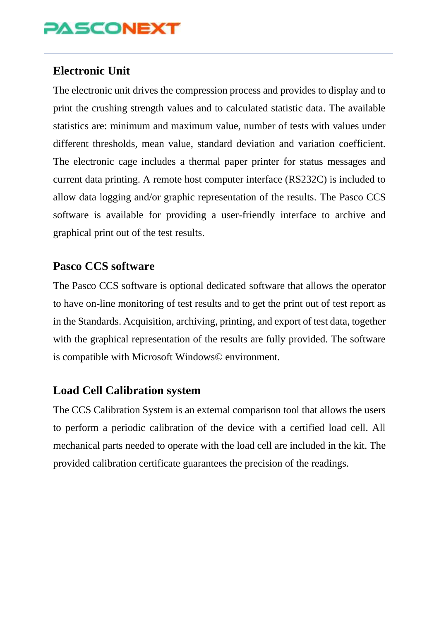## **PASCONEXT**

### **Electronic Unit**

The electronic unit drives the compression process and provides to display and to print the crushing strength values and to calculated statistic data. The available statistics are: minimum and maximum value, number of tests with values under different thresholds, mean value, standard deviation and variation coefficient. The electronic cage includes a thermal paper printer for status messages and current data printing. A remote host computer interface (RS232C) is included to allow data logging and/or graphic representation of the results. The Pasco CCS software is available for providing a user-friendly interface to archive and graphical print out of the test results.

#### **Pasco CCS software**

The Pasco CCS software is optional dedicated software that allows the operator to have on-line monitoring of test results and to get the print out of test report as in the Standards. Acquisition, archiving, printing, and export of test data, together with the graphical representation of the results are fully provided. The software is compatible with Microsoft Windows© environment.

### **Load Cell Calibration system**

The CCS Calibration System is an external comparison tool that allows the users to perform a periodic calibration of the device with a certified load cell. All mechanical parts needed to operate with the load cell are included in the kit. The provided calibration certificate guarantees the precision of the readings.